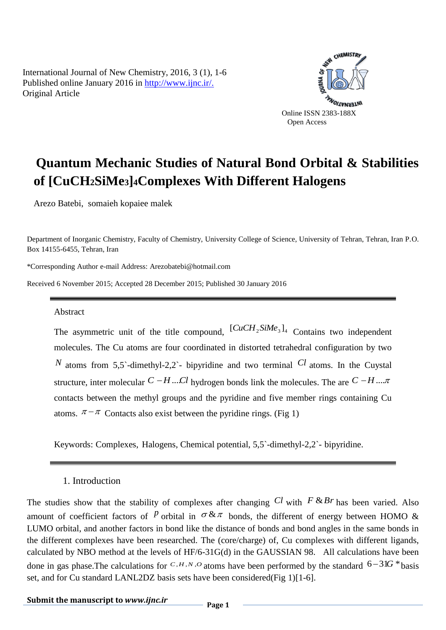International Journal of New Chemistry, 2016, 3 (1), 1-6 Published online January 2016 in [http://www.ijnc.ir/.](http://www.ijnc.ir/) Original Article



# **Quantum Mechanic Studies of Natural Bond Orbital & Stabilities of [CuCH2SiMe3]4Complexes With Different Halogens**

Arezo Batebi, somaieh kopaiee malek

Department of Inorganic Chemistry, Faculty of Chemistry, University College of Science, University of Tehran, Tehran, Iran P.O. Box 14155-6455, Tehran, Iran

\*Corresponding Author e-mail Address: Arezobatebi@hotmail.com

Received 6 November 2015; Accepted 28 December 2015; Published 30 January 2016

#### Abstract

The asymmetric unit of the title compound,  $\left[CuCH_{2}SiMe_{3}\right]_{4}$  Contains two independent molecules. The Cu atoms are four coordinated in distorted tetrahedral configuration by two *N* atoms from 5,5`-dimethyl-2,2`- bipyridine and two terminal  $Cl$  atoms. In the Cuystal structure, inter molecular  $C-H$  ...  $Cl$  hydrogen bonds link the molecules. The are  $C-H$  ...  $\pi$ contacts between the methyl groups and the pyridine and five member rings containing Cu atoms.  $\pi - \pi$  Contacts also exist between the pyridine rings. (Fig 1)

Keywords: Complexes, Halogens, Chemical potential, 5,5`-dimethyl-2,2`- bipyridine.

#### 1. Introduction

The studies show that the stability of complexes after changing  $Cl$  with  $F$   $\&$   $Br$  has been varied. Also amount of coefficient factors of  $P$  orbital in  $\sigma \& \pi$  bonds, the different of energy between HOMO & LUMO orbital, and another factors in bond like the distance of bonds and bond angles in the same bonds in the different complexes have been researched. The (core/charge) of, Cu complexes with different ligands, calculated by NBO method at the levels of HF/6-31G(d) in the GAUSSIAN 98. All calculations have been done in gas phase. The calculations for  $C, H, N, O$  atoms have been performed by the standard  $6-31G *$  basis set, and for Cu standard LANL2DZ basis sets have been considered(Fig 1)[1-6].

### **Submit the manuscript to** *www.ijnc.ir* Page 1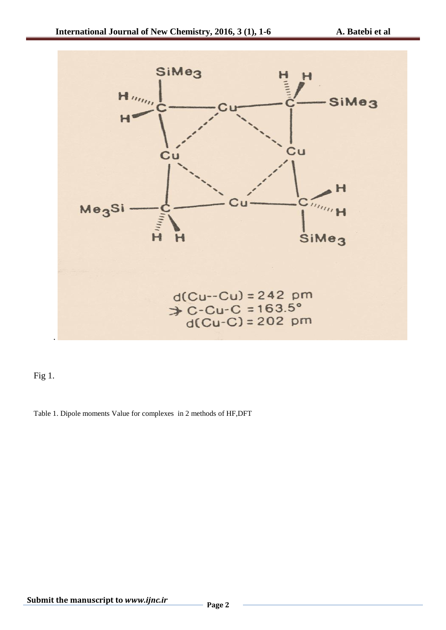

Fig 1.

Table 1. Dipole moments Value for complexes in 2 methods of HF,DFT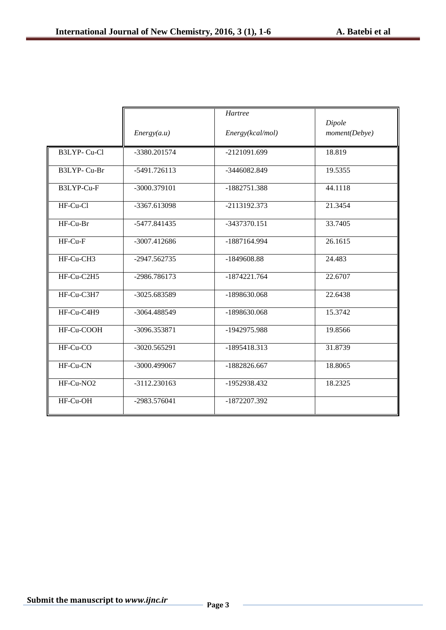|                       |                | Hartree          | Dipole        |
|-----------------------|----------------|------------------|---------------|
|                       | Energy(a.u)    | Energy(kcal/mol) | moment(Debye) |
| B3LYP-Cu-Cl           | -3380.201574   | -2121091.699     | 18.819        |
| B3LYP-Cu-Br           | -5491.726113   | -3446082.849     | 19.5355       |
| B3LYP-Cu-F            | $-3000.379101$ | $-1882751.388$   | 44.1118       |
| HF-Cu-Cl              | $-3367.613098$ | -2113192.373     | 21.3454       |
| HF-Cu-Br              | -5477.841435   | -3437370.151     | 33.7405       |
| $HF-Cu-F$             | -3007.412686   | -1887164.994     | 26.1615       |
| HF-Cu-CH3             | -2947.562735   | -1849608.88      | 24.483        |
| HF-Cu-C2H5            | -2986.786173   | $-1874221.764$   | 22.6707       |
| HF-Cu-C3H7            | -3025.683589   | -1898630.068     | 22.6438       |
| HF-Cu-C4H9            | -3064.488549   | -1898630.068     | 15.3742       |
| HF-Cu-COOH            | -3096.353871   | -1942975.988     | 19.8566       |
| HF-Cu-CO              | -3020.565291   | -1895418.313     | 31.8739       |
| HF-Cu-CN              | -3000.499067   | $-1882826.667$   | 18.8065       |
| HF-Cu-NO <sub>2</sub> | -3112.230163   | -1952938.432     | 18.2325       |
| HF-Cu-OH              | -2983.576041   | -1872207.392     |               |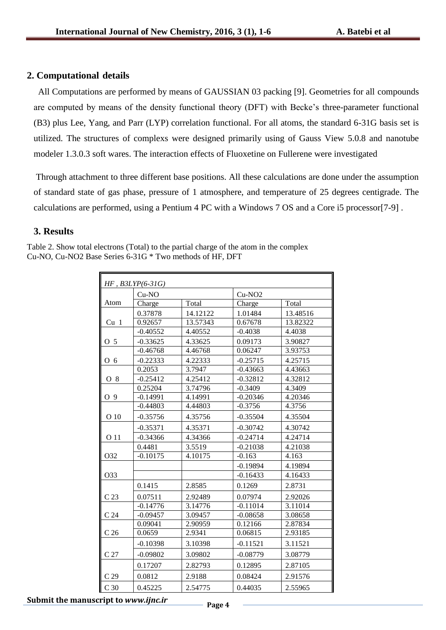### **2. Computational details**

 All Computations are performed by means of GAUSSIAN 03 packing [9]. Geometries for all compounds are computed by means of the density functional theory (DFT) with Becke's three-parameter functional (B3) plus Lee, Yang, and Parr (LYP) correlation functional. For all atoms, the standard 6-31G basis set is utilized. The structures of complexs were designed primarily using of Gauss View 5.0.8 and nanotube modeler 1.3.0.3 soft wares. The interaction effects of Fluoxetine on Fullerene were investigated

Through attachment to three different base positions. All these calculations are done under the assumption of standard state of gas phase, pressure of 1 atmosphere, and temperature of 25 degrees centigrade. The calculations are performed, using a Pentium 4 PC with a Windows 7 OS and a Core i5 processor[7-9] .

#### **3. Results**

Table 2. Show total electrons (Total) to the partial charge of the atom in the complex Cu-NO, Cu-NO2 Base Series 6-31G \* Two methods of HF, DFT

| $HF$ , $B3LYP(6-31G)$ |            |                   |                    |                  |  |  |  |
|-----------------------|------------|-------------------|--------------------|------------------|--|--|--|
|                       | $Cu-NO$    |                   | Cu-NO <sub>2</sub> |                  |  |  |  |
| Atom                  | Charge     | Total             | Charge             | Total            |  |  |  |
|                       | 0.37878    | 14.12122          | 1.01484            | 13.48516         |  |  |  |
| Cu <sub>1</sub>       | 0.92657    | 13.57343          | 0.67678            | 13.82322         |  |  |  |
|                       | $-0.40552$ | 4.40552           | $-0.4038$          | 4.4038           |  |  |  |
| O 5                   | $-0.33625$ | 4.33625           | 0.09173            | 3.90827          |  |  |  |
|                       | $-0.46768$ | 4.46768           | 0.06247            | 3.93753          |  |  |  |
| O 6                   | $-0.22333$ | 4.22333           | $-0.25715$         | 4.25715          |  |  |  |
|                       | 0.2053     | 3.7947            | $-0.43663$         | 4.43663          |  |  |  |
| O 8                   | $-0.25412$ | 4.25412           | $-0.32812$         | 4.32812          |  |  |  |
|                       | 0.25204    | 3.74796           | $-0.3409$          | 4.3409           |  |  |  |
| O 9                   | $-0.14991$ | 4.14991           | $-0.20346$         | 4.20346          |  |  |  |
|                       | $-0.44803$ | 4.44803           | $-0.3756$          | 4.3756           |  |  |  |
| O 10                  | $-0.35756$ | 4.35756           | $-0.35504$         | 4.35504          |  |  |  |
|                       | $-0.35371$ | 4.35371           | $-0.30742$         | 4.30742          |  |  |  |
| O 11                  | $-0.34366$ | 4.34366           | $-0.24714$         | 4.24714          |  |  |  |
|                       | 0.4481     |                   | $-0.21038$         |                  |  |  |  |
| O32                   | $-0.10175$ | 3.5519<br>4.10175 | $-0.163$           | 4.21038<br>4.163 |  |  |  |
|                       |            |                   |                    |                  |  |  |  |
|                       |            |                   | $-0.19894$         | 4.19894          |  |  |  |
| O33                   |            |                   | $-0.16433$         | 4.16433          |  |  |  |
|                       | 0.1415     | 2.8585            | 0.1269             | 2.8731           |  |  |  |
| C <sub>23</sub>       | 0.07511    | 2.92489           | 0.07974            | 2.92026          |  |  |  |
|                       | $-0.14776$ | 3.14776           | $-0.11014$         | 3.11014          |  |  |  |
| C <sub>24</sub>       | $-0.09457$ | 3.09457           | $-0.08658$         | 3.08658          |  |  |  |
|                       | 0.09041    | 2.90959           | 0.12166            | 2.87834          |  |  |  |
| C <sub>26</sub>       | 0.0659     | 2.9341            | 0.06815            | 2.93185          |  |  |  |
|                       | $-0.10398$ | 3.10398           | $-0.11521$         | 3.11521          |  |  |  |
| C <sub>27</sub>       | $-0.09802$ | 3.09802           | $-0.08779$         | 3.08779          |  |  |  |
|                       | 0.17207    | 2.82793           | 0.12895            | 2.87105          |  |  |  |
| C <sub>29</sub>       | 0.0812     | 2.9188            | 0.08424            | 2.91576          |  |  |  |
| C <sub>30</sub>       | 0.45225    | 2.54775           | 0.44035            | 2.55965          |  |  |  |

## **Submit the manuscript to** *www.ijnc.ir* Page 4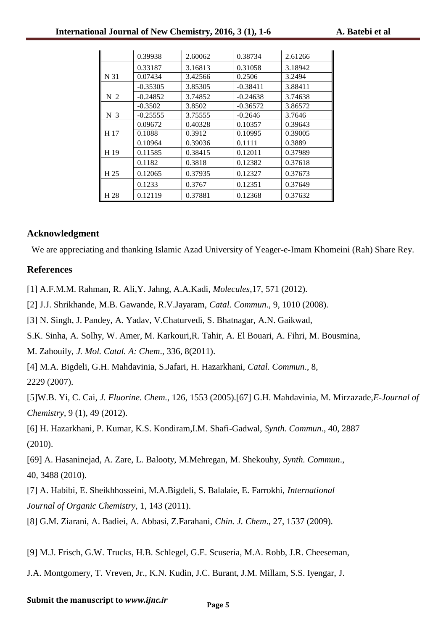|                | 0.39938    | 2.60062 | 0.38734    | 2.61266 |
|----------------|------------|---------|------------|---------|
|                | 0.33187    | 3.16813 | 0.31058    | 3.18942 |
| N 31           | 0.07434    | 3.42566 | 0.2506     | 3.2494  |
|                | $-0.35305$ | 3.85305 | $-0.38411$ | 3.88411 |
| N <sub>2</sub> | $-0.24852$ | 3.74852 | $-0.24638$ | 3.74638 |
|                | $-0.3502$  | 3.8502  | $-0.36572$ | 3.86572 |
| N <sub>3</sub> | $-0.25555$ | 3.75555 | $-0.2646$  | 3.7646  |
|                | 0.09672    | 0.40328 | 0.10357    | 0.39643 |
| H 17           | 0.1088     | 0.3912  | 0.10995    | 0.39005 |
|                | 0.10964    | 0.39036 | 0.1111     | 0.3889  |
| H 19           | 0.11585    | 0.38415 | 0.12011    | 0.37989 |
|                | 0.1182     | 0.3818  | 0.12382    | 0.37618 |
| H 25           | 0.12065    | 0.37935 | 0.12327    | 0.37673 |
|                | 0.1233     | 0.3767  | 0.12351    | 0.37649 |
| H 28           | 0.12119    | 0.37881 | 0.12368    | 0.37632 |

#### **Acknowledgment**

We are appreciating and thanking Islamic Azad University of Yeager-e-Imam Khomeini (Rah) Share Rey.

#### **References**

[1] A.F.M.M. Rahman, R. Ali,Y. Jahng, A.A.Kadi, *Molecules*,17, 571 (2012).

[2] J.J. Shrikhande, M.B. Gawande, R.V.Jayaram, *Catal. Commun*., 9, 1010 (2008).

[3] N. Singh, J. Pandey, A. Yadav, V.Chaturvedi, S. Bhatnagar, A.N. Gaikwad,

S.K. Sinha, A. Solhy, W. Amer, M. Karkouri,R. Tahir, A. El Bouari, A. Fihri, M. Bousmina,

M. Zahouily, *J. Mol. Catal. A: Chem*., 336, 8(2011).

[4] M.A. Bigdeli, G.H. Mahdavinia, S.Jafari, H. Hazarkhani, *Catal. Commun*., 8,

2229 (2007).

[5]W.B. Yi, C. Cai, *J. Fluorine. Chem.*, 126, 1553 (2005).[67] G.H. Mahdavinia, M. Mirzazade,*E-Journal of Chemistry*, 9 (1), 49 (2012).

[6] H. Hazarkhani, P. Kumar, K.S. Kondiram,I.M. Shafi-Gadwal, *Synth. Commun*., 40, 2887 (2010).

[69] A. Hasaninejad, A. Zare, L. Balooty, M.Mehregan, M. Shekouhy, *Synth. Commun*., 40, 3488 (2010).

[7] A. Habibi, E. Sheikhhosseini, M.A.Bigdeli, S. Balalaie, E. Farrokhi, *International Journal of Organic Chemistry*, 1, 143 (2011).

[8] G.M. Ziarani, A. Badiei, A. Abbasi, Z.Farahani, *Chin. J. Chem*., 27, 1537 (2009).

[9] M.J. Frisch, G.W. Trucks, H.B. Schlegel, G.E. Scuseria, M.A. Robb, J.R. Cheeseman,

J.A. Montgomery, T. Vreven, Jr., K.N. Kudin, J.C. Burant, J.M. Millam, S.S. Iyengar, J.

### **Submit the manuscript to** *www.ijnc.ir* Page 5